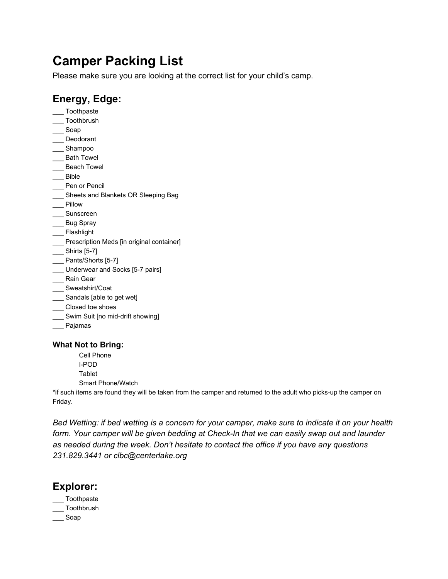# **Camper Packing List**

Please make sure you are looking at the correct list for your child's camp.

# **Energy, Edge:**

- \_\_\_ Toothpaste
- \_\_\_ Toothbrush
- \_\_\_ Soap
- \_\_\_ Deodorant
- \_\_\_ Shampoo
- \_\_\_ Bath Towel
- \_\_\_ Beach Towel
- \_\_\_ Bible
- \_\_\_ Pen or Pencil
- \_\_\_ Sheets and Blankets OR Sleeping Bag
- \_\_\_ Pillow
- \_\_\_ Sunscreen
- \_\_\_ Bug Spray
- \_\_\_ Flashlight
- \_\_\_ Prescription Meds [in original container]
- \_\_\_ Shirts [5-7]
- Pants/Shorts [5-7]
- \_\_\_ Underwear and Socks [5-7 pairs]
- \_\_\_ Rain Gear
- \_\_\_ Sweatshirt/Coat
- \_\_\_ Sandals [able to get wet]
- \_\_\_ Closed toe shoes
- \_\_\_ Swim Suit [no mid-drift showing]
- \_\_\_ Pajamas

### **What Not to Bring:**

- Cell Phone
- I-POD
- Tablet
- Smart Phone/Watch

\*if such items are found they will be taken from the camper and returned to the adult who picks-up the camper on Friday.

Bed Wetting: if bed wetting is a concern for your camper, make sure to indicate it on your health *form. Your camper will be given bedding at Check-In that we can easily swap out and launder as needed during the week. Don't hesitate to contact the office if you have any questions 231.829.3441 or clbc@centerlake.org*

# **Explorer:**

- \_\_\_ Toothpaste
- \_\_\_ Toothbrush
- \_\_\_ Soap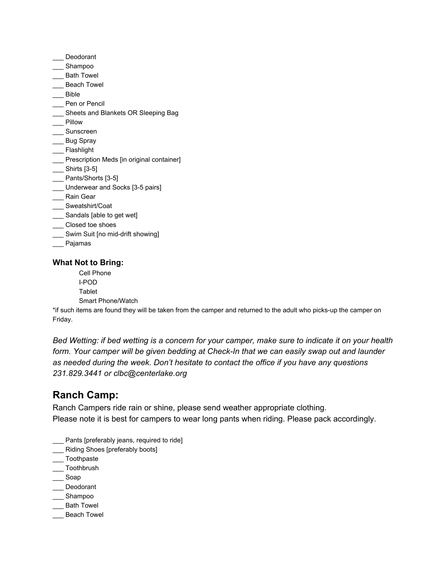- \_\_\_ Deodorant
- \_\_\_ Shampoo
- \_\_\_ Bath Towel
- \_\_ Beach Towel
- \_\_\_ Bible
- Pen or Pencil
- \_\_\_ Sheets and Blankets OR Sleeping Bag
- \_\_\_ Pillow
- \_\_\_ Sunscreen
- \_\_\_ Bug Spray
- \_\_\_ Flashlight
- \_\_\_ Prescription Meds [in original container]
- \_\_\_ Shirts [3-5]
- \_\_\_ Pants/Shorts [3-5]
- \_\_\_ Underwear and Socks [3-5 pairs]
- \_\_\_ Rain Gear
- Sweatshirt/Coat
- \_\_\_ Sandals [able to get wet]
- \_\_\_ Closed toe shoes
- \_\_\_ Swim Suit [no mid-drift showing]
- \_\_\_ Pajamas

#### **What Not to Bring:**

Cell Phone I-POD **Tablet** Smart Phone/Watch

\*if such items are found they will be taken from the camper and returned to the adult who picks-up the camper on Friday.

Bed Wetting: if bed wetting is a concern for your camper, make sure to indicate it on your health *form. Your camper will be given bedding at Check-In that we can easily swap out and launder as needed during the week. Don't hesitate to contact the office if you have any questions 231.829.3441 or clbc@centerlake.org*

# **Ranch Camp:**

Ranch Campers ride rain or shine, please send weather appropriate clothing. Please note it is best for campers to wear long pants when riding. Please pack accordingly.

- Pants [preferably jeans, required to ride]
- \_\_\_ Riding Shoes [preferably boots]
- \_\_\_ Toothpaste
- \_\_\_ Toothbrush
- \_\_\_ Soap
- \_\_\_ Deodorant
- \_\_\_ Shampoo
- \_\_\_ Bath Towel
- \_\_\_ Beach Towel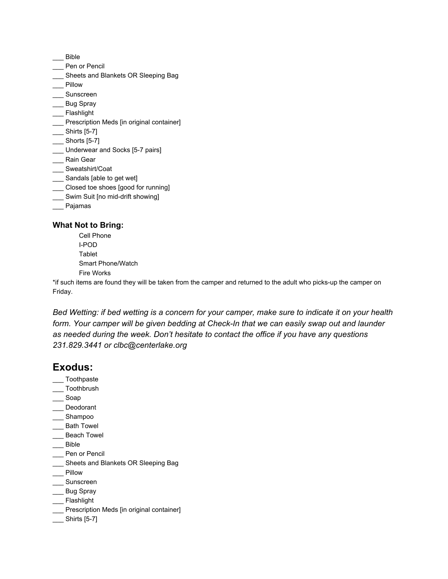- \_\_\_ Bible
- \_\_\_ Pen or Pencil
- \_\_\_ Sheets and Blankets OR Sleeping Bag
- \_\_\_ Pillow
- \_\_\_ Sunscreen
- \_\_\_ Bug Spray
- \_\_\_ Flashlight
- \_\_\_ Prescription Meds [in original container]
- \_\_\_ Shirts [5-7]
- \_\_\_ Shorts [5-7]
- \_\_\_ Underwear and Socks [5-7 pairs]
- \_\_\_ Rain Gear
- \_\_\_ Sweatshirt/Coat
- \_\_\_ Sandals [able to get wet]
- \_\_\_ Closed toe shoes [good for running]
- \_\_\_ Swim Suit [no mid-drift showing]
- \_\_\_ Pajamas

#### **What Not to Bring:**

Cell Phone I-POD Tablet Smart Phone/Watch Fire Works

\*if such items are found they will be taken from the camper and returned to the adult who picks-up the camper on Friday.

Bed Wetting: if bed wetting is a concern for your camper, make sure to indicate it on your health *form. Your camper will be given bedding at Check-In that we can easily swap out and launder as needed during the week. Don't hesitate to contact the office if you have any questions 231.829.3441 or clbc@centerlake.org*

### **Exodus:**

- \_\_\_ Toothpaste
- \_\_\_ Toothbrush
- \_\_\_ Soap
- Deodorant
- \_\_\_ Shampoo
- \_\_\_ Bath Towel
- Beach Towel
- \_\_\_ Bible
- \_\_\_ Pen or Pencil
- \_\_\_ Sheets and Blankets OR Sleeping Bag
- \_\_\_ Pillow
- \_\_\_ Sunscreen
- \_\_\_ Bug Spray
- \_\_\_ Flashlight
- \_\_\_ Prescription Meds [in original container]
- \_\_\_ Shirts [5-7]